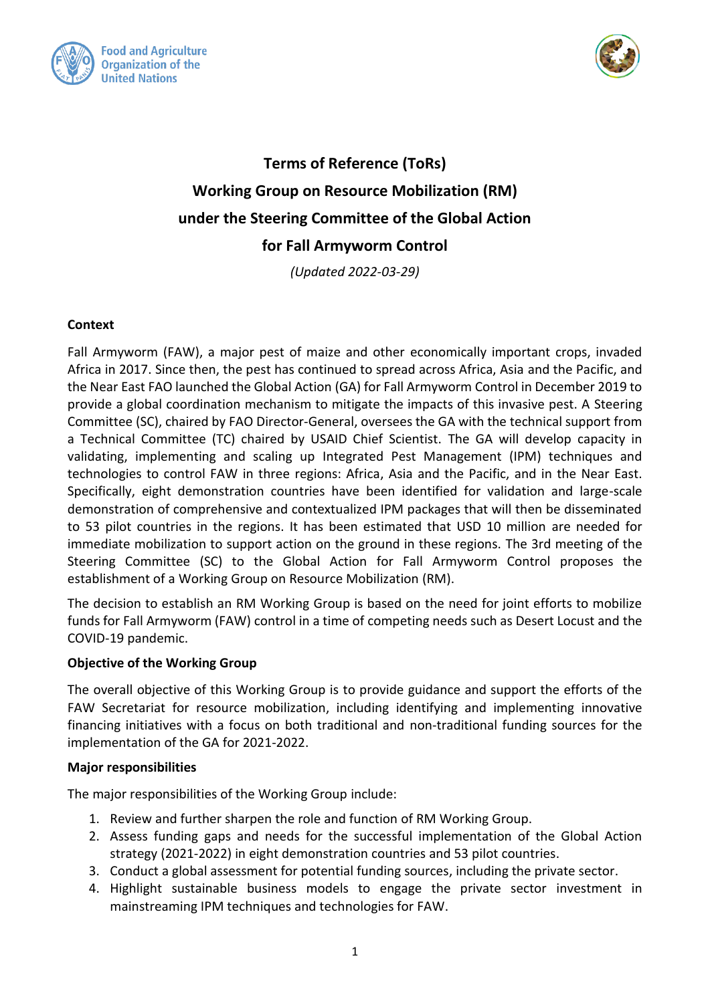



# **Terms of Reference (ToRs) Working Group on Resource Mobilization (RM) under the Steering Committee of the Global Action for Fall Armyworm Control**

*(Updated 2022-03-29)*

### **Context**

Fall Armyworm (FAW), a major pest of maize and other economically important crops, invaded Africa in 2017. Since then, the pest has continued to spread across Africa, Asia and the Pacific, and the Near East FAO launched the Global Action (GA) for Fall Armyworm Control in December 2019 to provide a global coordination mechanism to mitigate the impacts of this invasive pest. A Steering Committee (SC), chaired by FAO Director-General, oversees the GA with the technical support from a Technical Committee (TC) chaired by USAID Chief Scientist. The GA will develop capacity in validating, implementing and scaling up Integrated Pest Management (IPM) techniques and technologies to control FAW in three regions: Africa, Asia and the Pacific, and in the Near East. Specifically, eight demonstration countries have been identified for validation and large-scale demonstration of comprehensive and contextualized IPM packages that will then be disseminated to 53 pilot countries in the regions. It has been estimated that USD 10 million are needed for immediate mobilization to support action on the ground in these regions. The 3rd meeting of the Steering Committee (SC) to the Global Action for Fall Armyworm Control proposes the establishment of a Working Group on Resource Mobilization (RM).

The decision to establish an RM Working Group is based on the need for joint efforts to mobilize funds for Fall Armyworm (FAW) control in a time of competing needs such as Desert Locust and the COVID-19 pandemic.

#### **Objective of the Working Group**

The overall objective of this Working Group is to provide guidance and support the efforts of the FAW Secretariat for resource mobilization, including identifying and implementing innovative financing initiatives with a focus on both traditional and non-traditional funding sources for the implementation of the GA for 2021-2022.

#### **Major responsibilities**

The major responsibilities of the Working Group include:

- 1. Review and further sharpen the role and function of RM Working Group.
- 2. Assess funding gaps and needs for the successful implementation of the Global Action strategy (2021-2022) in eight demonstration countries and 53 pilot countries.
- 3. Conduct a global assessment for potential funding sources, including the private sector.
- 4. Highlight sustainable business models to engage the private sector investment in mainstreaming IPM techniques and technologies for FAW.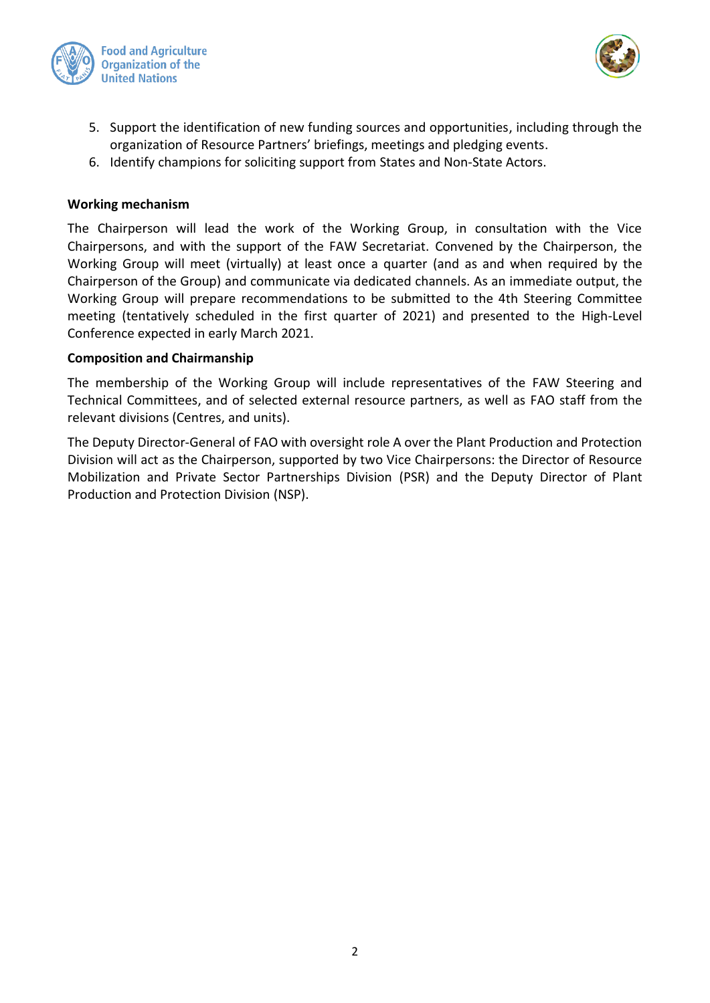



- 5. Support the identification of new funding sources and opportunities, including through the organization of Resource Partners' briefings, meetings and pledging events.
- 6. Identify champions for soliciting support from States and Non-State Actors.

#### **Working mechanism**

The Chairperson will lead the work of the Working Group, in consultation with the Vice Chairpersons, and with the support of the FAW Secretariat. Convened by the Chairperson, the Working Group will meet (virtually) at least once a quarter (and as and when required by the Chairperson of the Group) and communicate via dedicated channels. As an immediate output, the Working Group will prepare recommendations to be submitted to the 4th Steering Committee meeting (tentatively scheduled in the first quarter of 2021) and presented to the High-Level Conference expected in early March 2021.

#### **Composition and Chairmanship**

The membership of the Working Group will include representatives of the FAW Steering and Technical Committees, and of selected external resource partners, as well as FAO staff from the relevant divisions (Centres, and units).

The Deputy Director-General of FAO with oversight role A over the Plant Production and Protection Division will act as the Chairperson, supported by two Vice Chairpersons: the Director of Resource Mobilization and Private Sector Partnerships Division (PSR) and the Deputy Director of Plant Production and Protection Division (NSP).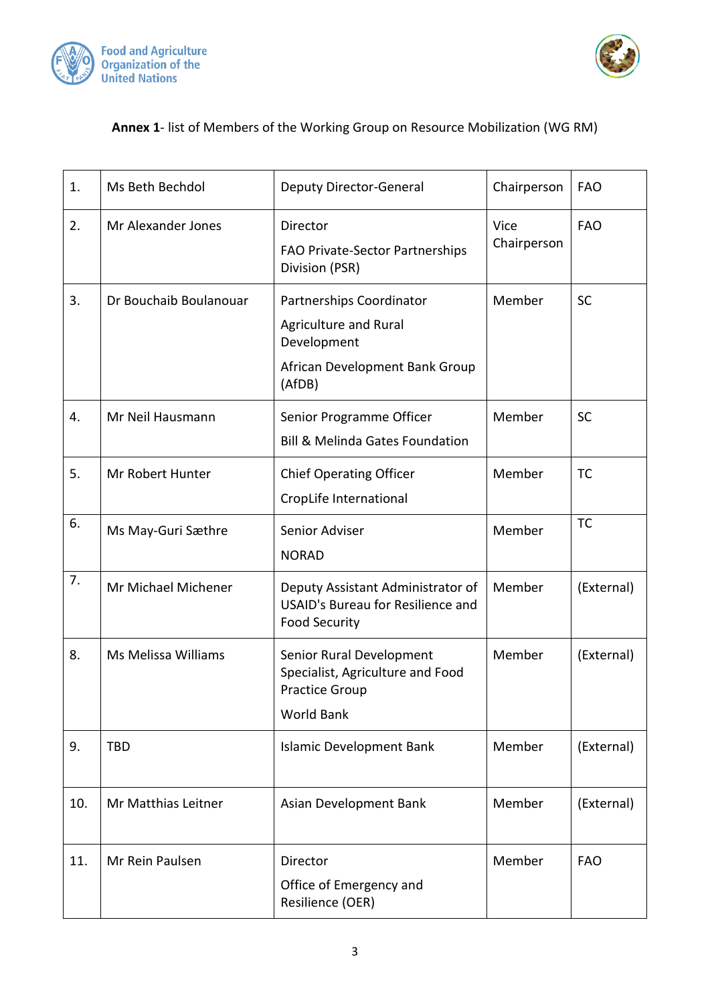



## **Annex 1**- list of Members of the Working Group on Resource Mobilization (WG RM)

| 1.  | Ms Beth Bechdol        | <b>Deputy Director-General</b>                                                                               | Chairperson         | <b>FAO</b> |
|-----|------------------------|--------------------------------------------------------------------------------------------------------------|---------------------|------------|
| 2.  | Mr Alexander Jones     | Director<br>FAO Private-Sector Partnerships<br>Division (PSR)                                                | Vice<br>Chairperson | <b>FAO</b> |
| 3.  | Dr Bouchaib Boulanouar | Partnerships Coordinator<br>Agriculture and Rural<br>Development<br>African Development Bank Group<br>(AfDB) | Member              | <b>SC</b>  |
| 4.  | Mr Neil Hausmann       | Senior Programme Officer<br><b>Bill &amp; Melinda Gates Foundation</b>                                       | Member              | <b>SC</b>  |
| 5.  | Mr Robert Hunter       | <b>Chief Operating Officer</b><br>CropLife International                                                     | Member              | <b>TC</b>  |
| 6.  | Ms May-Guri Sæthre     | Senior Adviser<br><b>NORAD</b>                                                                               | Member              | <b>TC</b>  |
| 7.  | Mr Michael Michener    | Deputy Assistant Administrator of<br><b>USAID's Bureau for Resilience and</b><br><b>Food Security</b>        | Member              | (External) |
| 8.  | Ms Melissa Williams    | Senior Rural Development<br>Specialist, Agriculture and Food<br><b>Practice Group</b><br><b>World Bank</b>   | Member              | (External) |
| 9.  | <b>TBD</b>             | <b>Islamic Development Bank</b>                                                                              | Member              | (External) |
| 10. | Mr Matthias Leitner    | Asian Development Bank                                                                                       | Member              | (External) |
| 11. | Mr Rein Paulsen        | Director<br>Office of Emergency and<br>Resilience (OER)                                                      | Member              | <b>FAO</b> |